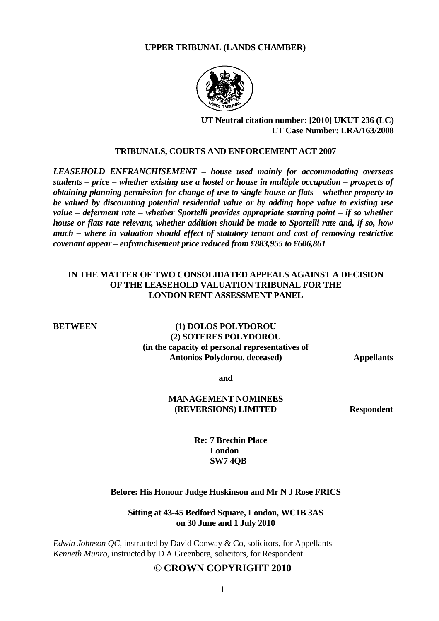#### **UPPER TRIBUNAL (LANDS CHAMBER)**



# **UT Neutral citation number: [2010] UKUT 236 (LC) LT Case Number: LRA/163/2008**

#### **TRIBUNALS, COURTS AND ENFORCEMENT ACT 2007**

*LEASEHOLD ENFRANCHISEMENT – house used mainly for accommodating overseas students – price – whether existing use a hostel or house in multiple occupation – prospects of obtaining planning permission for change of use to single house or flats – whether property to be valued by discounting potential residential value or by adding hope value to existing use value – deferment rate – whether Sportelli provides appropriate starting point – if so whether house or flats rate relevant, whether addition should be made to Sportelli rate and, if so, how much – where in valuation should effect of statutory tenant and cost of removing restrictive covenant appear – enfranchisement price reduced from £883,955 to £606,861* 

# **IN THE MATTER OF TWO CONSOLIDATED APPEALS AGAINST A DECISION OF THE LEASEHOLD VALUATION TRIBUNAL FOR THE LONDON RENT ASSESSMENT PANEL**

# **BETWEEN** (1) **DOLOS POLYDOROU (2) SOTERES POLYDOROU (in the capacity of personal representatives of Antonios Polydorou, deceased) Appellants**

**and** 

# **MANAGEMENT NOMINEES (REVERSIONS) LIMITED Respondent**

 **Re: 7 Brechin Place London SW7 4QB** 

#### **Before: His Honour Judge Huskinson and Mr N J Rose FRICS**

#### **Sitting at 43-45 Bedford Square, London, WC1B 3AS on 30 June and 1 July 2010**

*Edwin Johnson QC*, instructed by David Conway & Co, solicitors, for Appellants *Kenneth Munro*, instructed by D A Greenberg, solicitors, for Respondent

# **© CROWN COPYRIGHT 2010**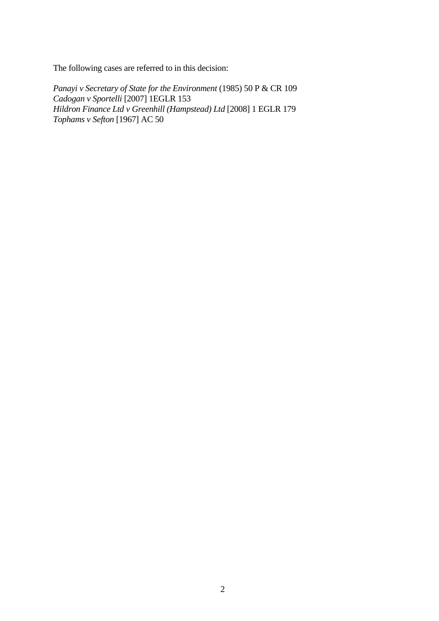The following cases are referred to in this decision:

*Panayi v Secretary of State for the Environment* (1985) 50 P & CR 109 *Cadogan v Sportelli* [2007] 1EGLR 153 *Hildron Finance Ltd v Greenhill (Hampstead) Ltd* [2008] 1 EGLR 179 *Tophams v Sefton* [1967] AC 50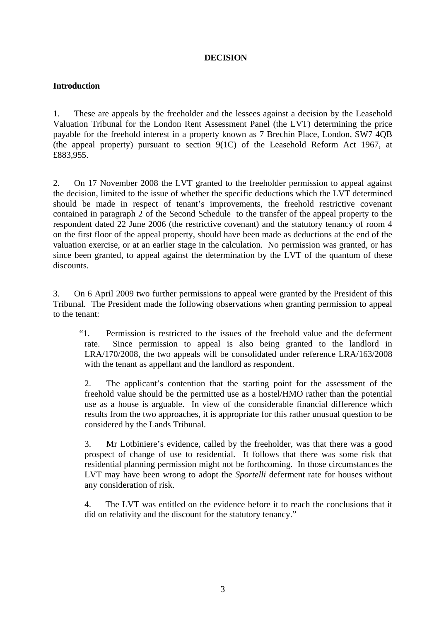# **DECISION**

# **Introduction**

1. These are appeals by the freeholder and the lessees against a decision by the Leasehold Valuation Tribunal for the London Rent Assessment Panel (the LVT) determining the price payable for the freehold interest in a property known as 7 Brechin Place, London, SW7 4QB (the appeal property) pursuant to section 9(1C) of the Leasehold Reform Act 1967, at £883,955.

2. On 17 November 2008 the LVT granted to the freeholder permission to appeal against the decision, limited to the issue of whether the specific deductions which the LVT determined should be made in respect of tenant's improvements, the freehold restrictive covenant contained in paragraph 2 of the Second Schedule to the transfer of the appeal property to the respondent dated 22 June 2006 (the restrictive covenant) and the statutory tenancy of room 4 on the first floor of the appeal property, should have been made as deductions at the end of the valuation exercise, or at an earlier stage in the calculation. No permission was granted, or has since been granted, to appeal against the determination by the LVT of the quantum of these discounts.

3. On 6 April 2009 two further permissions to appeal were granted by the President of this Tribunal. The President made the following observations when granting permission to appeal to the tenant:

"1. Permission is restricted to the issues of the freehold value and the deferment rate. Since permission to appeal is also being granted to the landlord in LRA/170/2008, the two appeals will be consolidated under reference LRA/163/2008 with the tenant as appellant and the landlord as respondent.

2. The applicant's contention that the starting point for the assessment of the freehold value should be the permitted use as a hostel/HMO rather than the potential use as a house is arguable. In view of the considerable financial difference which results from the two approaches, it is appropriate for this rather unusual question to be considered by the Lands Tribunal.

3. Mr Lotbiniere's evidence, called by the freeholder, was that there was a good prospect of change of use to residential. It follows that there was some risk that residential planning permission might not be forthcoming. In those circumstances the LVT may have been wrong to adopt the *Sportelli* deferment rate for houses without any consideration of risk.

4. The LVT was entitled on the evidence before it to reach the conclusions that it did on relativity and the discount for the statutory tenancy."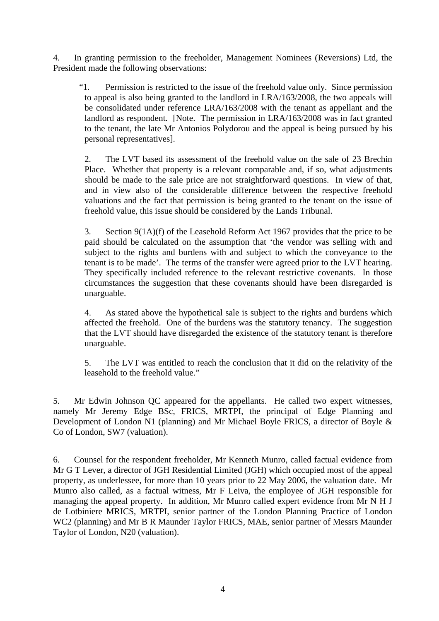4. In granting permission to the freeholder, Management Nominees (Reversions) Ltd, the President made the following observations:

"1. Permission is restricted to the issue of the freehold value only. Since permission to appeal is also being granted to the landlord in LRA/163/2008, the two appeals will be consolidated under reference LRA/163/2008 with the tenant as appellant and the landlord as respondent. [Note. The permission in LRA/163/2008 was in fact granted to the tenant, the late Mr Antonios Polydorou and the appeal is being pursued by his personal representatives].

2. The LVT based its assessment of the freehold value on the sale of 23 Brechin Place. Whether that property is a relevant comparable and, if so, what adjustments should be made to the sale price are not straightforward questions. In view of that, and in view also of the considerable difference between the respective freehold valuations and the fact that permission is being granted to the tenant on the issue of freehold value, this issue should be considered by the Lands Tribunal.

3. Section 9(1A)(f) of the Leasehold Reform Act 1967 provides that the price to be paid should be calculated on the assumption that 'the vendor was selling with and subject to the rights and burdens with and subject to which the conveyance to the tenant is to be made'. The terms of the transfer were agreed prior to the LVT hearing. They specifically included reference to the relevant restrictive covenants. In those circumstances the suggestion that these covenants should have been disregarded is unarguable.

4. As stated above the hypothetical sale is subject to the rights and burdens which affected the freehold. One of the burdens was the statutory tenancy. The suggestion that the LVT should have disregarded the existence of the statutory tenant is therefore unarguable.

5. The LVT was entitled to reach the conclusion that it did on the relativity of the leasehold to the freehold value."

5. Mr Edwin Johnson QC appeared for the appellants. He called two expert witnesses, namely Mr Jeremy Edge BSc, FRICS, MRTPI, the principal of Edge Planning and Development of London N1 (planning) and Mr Michael Boyle FRICS, a director of Boyle & Co of London, SW7 (valuation).

6. Counsel for the respondent freeholder, Mr Kenneth Munro, called factual evidence from Mr G T Lever, a director of JGH Residential Limited (JGH) which occupied most of the appeal property, as underlessee, for more than 10 years prior to 22 May 2006, the valuation date. Mr Munro also called, as a factual witness, Mr F Leiva, the employee of JGH responsible for managing the appeal property. In addition, Mr Munro called expert evidence from Mr N H J de Lotbiniere MRICS, MRTPI, senior partner of the London Planning Practice of London WC2 (planning) and Mr B R Maunder Taylor FRICS, MAE, senior partner of Messrs Maunder Taylor of London, N20 (valuation).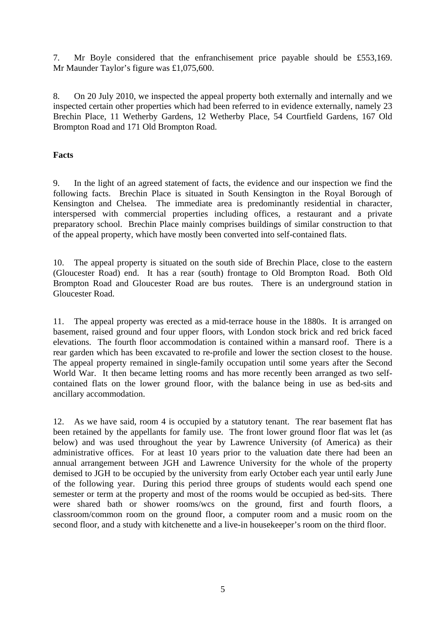7. Mr Boyle considered that the enfranchisement price payable should be £553,169. Mr Maunder Taylor's figure was £1,075,600.

8. On 20 July 2010, we inspected the appeal property both externally and internally and we inspected certain other properties which had been referred to in evidence externally, namely 23 Brechin Place, 11 Wetherby Gardens, 12 Wetherby Place, 54 Courtfield Gardens, 167 Old Brompton Road and 171 Old Brompton Road.

# **Facts**

9. In the light of an agreed statement of facts, the evidence and our inspection we find the following facts. Brechin Place is situated in South Kensington in the Royal Borough of Kensington and Chelsea. The immediate area is predominantly residential in character, interspersed with commercial properties including offices, a restaurant and a private preparatory school. Brechin Place mainly comprises buildings of similar construction to that of the appeal property, which have mostly been converted into self-contained flats.

10. The appeal property is situated on the south side of Brechin Place, close to the eastern (Gloucester Road) end. It has a rear (south) frontage to Old Brompton Road. Both Old Brompton Road and Gloucester Road are bus routes. There is an underground station in Gloucester Road.

11. The appeal property was erected as a mid-terrace house in the 1880s. It is arranged on basement, raised ground and four upper floors, with London stock brick and red brick faced elevations. The fourth floor accommodation is contained within a mansard roof. There is a rear garden which has been excavated to re-profile and lower the section closest to the house. The appeal property remained in single-family occupation until some years after the Second World War. It then became letting rooms and has more recently been arranged as two selfcontained flats on the lower ground floor, with the balance being in use as bed-sits and ancillary accommodation.

12. As we have said, room 4 is occupied by a statutory tenant. The rear basement flat has been retained by the appellants for family use. The front lower ground floor flat was let (as below) and was used throughout the year by Lawrence University (of America) as their administrative offices. For at least 10 years prior to the valuation date there had been an annual arrangement between JGH and Lawrence University for the whole of the property demised to JGH to be occupied by the university from early October each year until early June of the following year. During this period three groups of students would each spend one semester or term at the property and most of the rooms would be occupied as bed-sits. There were shared bath or shower rooms/wcs on the ground, first and fourth floors, a classroom/common room on the ground floor, a computer room and a music room on the second floor, and a study with kitchenette and a live-in housekeeper's room on the third floor.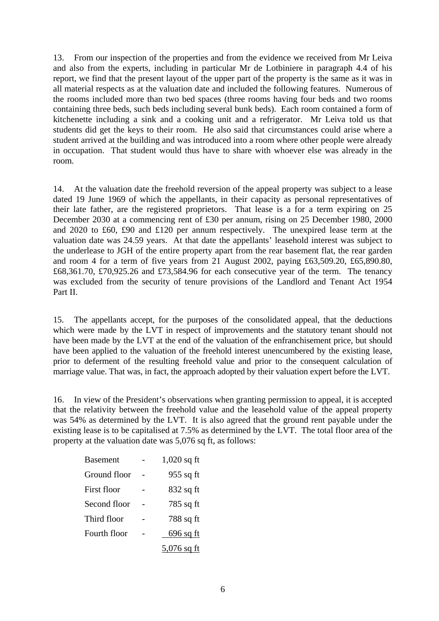13. From our inspection of the properties and from the evidence we received from Mr Leiva and also from the experts, including in particular Mr de Lotbiniere in paragraph 4.4 of his report, we find that the present layout of the upper part of the property is the same as it was in all material respects as at the valuation date and included the following features. Numerous of the rooms included more than two bed spaces (three rooms having four beds and two rooms containing three beds, such beds including several bunk beds). Each room contained a form of kitchenette including a sink and a cooking unit and a refrigerator. Mr Leiva told us that students did get the keys to their room. He also said that circumstances could arise where a student arrived at the building and was introduced into a room where other people were already in occupation. That student would thus have to share with whoever else was already in the room.

14. At the valuation date the freehold reversion of the appeal property was subject to a lease dated 19 June 1969 of which the appellants, in their capacity as personal representatives of their late father, are the registered proprietors. That lease is a for a term expiring on 25 December 2030 at a commencing rent of £30 per annum, rising on 25 December 1980, 2000 and 2020 to £60, £90 and £120 per annum respectively. The unexpired lease term at the valuation date was 24.59 years. At that date the appellants' leasehold interest was subject to the underlease to JGH of the entire property apart from the rear basement flat, the rear garden and room 4 for a term of five years from 21 August 2002, paying £63,509.20, £65,890.80, £68,361.70, £70,925.26 and £73,584.96 for each consecutive year of the term. The tenancy was excluded from the security of tenure provisions of the Landlord and Tenant Act 1954 Part II.

15. The appellants accept, for the purposes of the consolidated appeal, that the deductions which were made by the LVT in respect of improvements and the statutory tenant should not have been made by the LVT at the end of the valuation of the enfranchisement price, but should have been applied to the valuation of the freehold interest unencumbered by the existing lease, prior to deferment of the resulting freehold value and prior to the consequent calculation of marriage value. That was, in fact, the approach adopted by their valuation expert before the LVT.

16. In view of the President's observations when granting permission to appeal, it is accepted that the relativity between the freehold value and the leasehold value of the appeal property was 54% as determined by the LVT. It is also agreed that the ground rent payable under the existing lease is to be capitalised at 7.5% as determined by the LVT. The total floor area of the property at the valuation date was 5,076 sq ft, as follows:

| Basement     | $1,020$ sq ft |
|--------------|---------------|
| Ground floor | 955 sq ft     |
| First floor  | $832$ sq ft   |
| Second floor | 785 sq ft     |
| Third floor  | 788 sq ft     |
| Fourth floor | $696$ sq ft   |
|              | $5,076$ sq ft |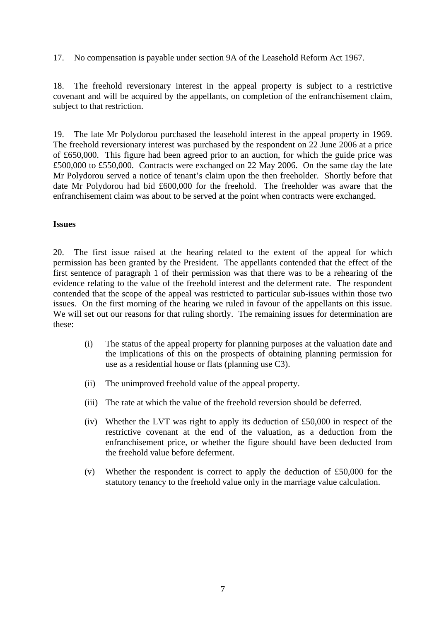17. No compensation is payable under section 9A of the Leasehold Reform Act 1967.

18. The freehold reversionary interest in the appeal property is subject to a restrictive covenant and will be acquired by the appellants, on completion of the enfranchisement claim, subject to that restriction.

19. The late Mr Polydorou purchased the leasehold interest in the appeal property in 1969. The freehold reversionary interest was purchased by the respondent on 22 June 2006 at a price of £650,000. This figure had been agreed prior to an auction, for which the guide price was £500,000 to £550,000. Contracts were exchanged on 22 May 2006. On the same day the late Mr Polydorou served a notice of tenant's claim upon the then freeholder. Shortly before that date Mr Polydorou had bid £600,000 for the freehold. The freeholder was aware that the enfranchisement claim was about to be served at the point when contracts were exchanged.

#### **Issues**

20. The first issue raised at the hearing related to the extent of the appeal for which permission has been granted by the President. The appellants contended that the effect of the first sentence of paragraph 1 of their permission was that there was to be a rehearing of the evidence relating to the value of the freehold interest and the deferment rate. The respondent contended that the scope of the appeal was restricted to particular sub-issues within those two issues. On the first morning of the hearing we ruled in favour of the appellants on this issue. We will set out our reasons for that ruling shortly. The remaining issues for determination are these:

- (i) The status of the appeal property for planning purposes at the valuation date and the implications of this on the prospects of obtaining planning permission for use as a residential house or flats (planning use C3).
- (ii) The unimproved freehold value of the appeal property.
- (iii) The rate at which the value of the freehold reversion should be deferred.
- (iv) Whether the LVT was right to apply its deduction of £50,000 in respect of the restrictive covenant at the end of the valuation, as a deduction from the enfranchisement price, or whether the figure should have been deducted from the freehold value before deferment.
- (v) Whether the respondent is correct to apply the deduction of £50,000 for the statutory tenancy to the freehold value only in the marriage value calculation.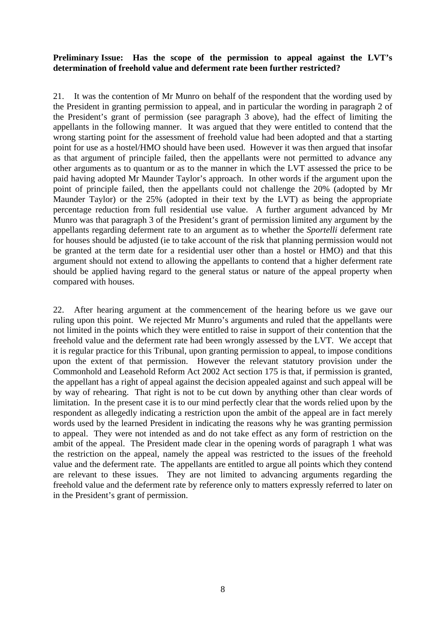# **Preliminary Issue: Has the scope of the permission to appeal against the LVT's determination of freehold value and deferment rate been further restricted?**

21. It was the contention of Mr Munro on behalf of the respondent that the wording used by the President in granting permission to appeal, and in particular the wording in paragraph 2 of the President's grant of permission (see paragraph 3 above), had the effect of limiting the appellants in the following manner. It was argued that they were entitled to contend that the wrong starting point for the assessment of freehold value had been adopted and that a starting point for use as a hostel/HMO should have been used. However it was then argued that insofar as that argument of principle failed, then the appellants were not permitted to advance any other arguments as to quantum or as to the manner in which the LVT assessed the price to be paid having adopted Mr Maunder Taylor's approach. In other words if the argument upon the point of principle failed, then the appellants could not challenge the 20% (adopted by Mr Maunder Taylor) or the 25% (adopted in their text by the LVT) as being the appropriate percentage reduction from full residential use value. A further argument advanced by Mr Munro was that paragraph 3 of the President's grant of permission limited any argument by the appellants regarding deferment rate to an argument as to whether the *Sportelli* deferment rate for houses should be adjusted (ie to take account of the risk that planning permission would not be granted at the term date for a residential user other than a hostel or HMO) and that this argument should not extend to allowing the appellants to contend that a higher deferment rate should be applied having regard to the general status or nature of the appeal property when compared with houses.

22. After hearing argument at the commencement of the hearing before us we gave our ruling upon this point. We rejected Mr Munro's arguments and ruled that the appellants were not limited in the points which they were entitled to raise in support of their contention that the freehold value and the deferment rate had been wrongly assessed by the LVT. We accept that it is regular practice for this Tribunal, upon granting permission to appeal, to impose conditions upon the extent of that permission. However the relevant statutory provision under the Commonhold and Leasehold Reform Act 2002 Act section 175 is that, if permission is granted, the appellant has a right of appeal against the decision appealed against and such appeal will be by way of rehearing. That right is not to be cut down by anything other than clear words of limitation. In the present case it is to our mind perfectly clear that the words relied upon by the respondent as allegedly indicating a restriction upon the ambit of the appeal are in fact merely words used by the learned President in indicating the reasons why he was granting permission to appeal. They were not intended as and do not take effect as any form of restriction on the ambit of the appeal. The President made clear in the opening words of paragraph 1 what was the restriction on the appeal, namely the appeal was restricted to the issues of the freehold value and the deferment rate. The appellants are entitled to argue all points which they contend are relevant to these issues. They are not limited to advancing arguments regarding the freehold value and the deferment rate by reference only to matters expressly referred to later on in the President's grant of permission.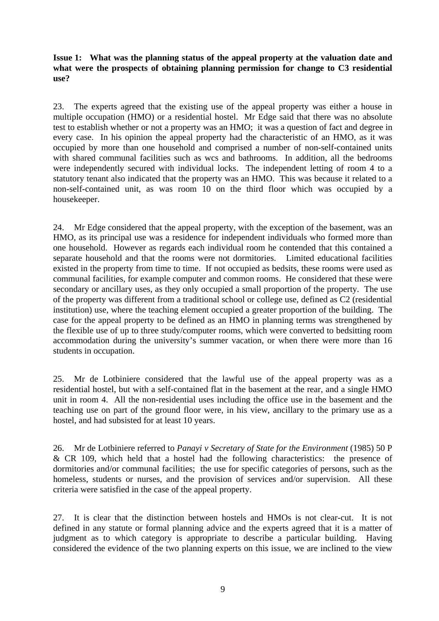# **Issue 1: What was the planning status of the appeal property at the valuation date and what were the prospects of obtaining planning permission for change to C3 residential use?**

23. The experts agreed that the existing use of the appeal property was either a house in multiple occupation (HMO) or a residential hostel. Mr Edge said that there was no absolute test to establish whether or not a property was an HMO; it was a question of fact and degree in every case. In his opinion the appeal property had the characteristic of an HMO, as it was occupied by more than one household and comprised a number of non-self-contained units with shared communal facilities such as wcs and bathrooms. In addition, all the bedrooms were independently secured with individual locks. The independent letting of room 4 to a statutory tenant also indicated that the property was an HMO. This was because it related to a non-self-contained unit, as was room 10 on the third floor which was occupied by a housekeeper.

24. Mr Edge considered that the appeal property, with the exception of the basement, was an HMO, as its principal use was a residence for independent individuals who formed more than one household. However as regards each individual room he contended that this contained a separate household and that the rooms were not dormitories. Limited educational facilities existed in the property from time to time. If not occupied as bedsits, these rooms were used as communal facilities, for example computer and common rooms. He considered that these were secondary or ancillary uses, as they only occupied a small proportion of the property. The use of the property was different from a traditional school or college use, defined as C2 (residential institution) use, where the teaching element occupied a greater proportion of the building. The case for the appeal property to be defined as an HMO in planning terms was strengthened by the flexible use of up to three study/computer rooms, which were converted to bedsitting room accommodation during the university's summer vacation, or when there were more than 16 students in occupation.

25. Mr de Lotbiniere considered that the lawful use of the appeal property was as a residential hostel, but with a self-contained flat in the basement at the rear, and a single HMO unit in room 4. All the non-residential uses including the office use in the basement and the teaching use on part of the ground floor were, in his view, ancillary to the primary use as a hostel, and had subsisted for at least 10 years.

26. Mr de Lotbiniere referred to *Panayi v Secretary of State for the Environment* (1985) 50 P & CR 109, which held that a hostel had the following characteristics: the presence of dormitories and/or communal facilities; the use for specific categories of persons, such as the homeless, students or nurses, and the provision of services and/or supervision. All these criteria were satisfied in the case of the appeal property.

27. It is clear that the distinction between hostels and HMOs is not clear-cut. It is not defined in any statute or formal planning advice and the experts agreed that it is a matter of judgment as to which category is appropriate to describe a particular building. Having considered the evidence of the two planning experts on this issue, we are inclined to the view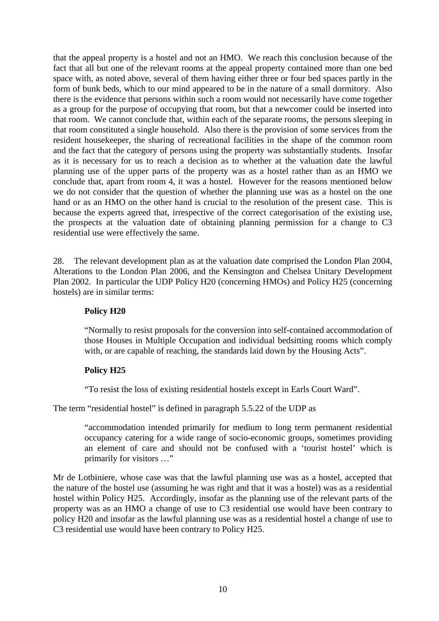that the appeal property is a hostel and not an HMO. We reach this conclusion because of the fact that all but one of the relevant rooms at the appeal property contained more than one bed space with, as noted above, several of them having either three or four bed spaces partly in the form of bunk beds, which to our mind appeared to be in the nature of a small dormitory. Also there is the evidence that persons within such a room would not necessarily have come together as a group for the purpose of occupying that room, but that a newcomer could be inserted into that room. We cannot conclude that, within each of the separate rooms, the persons sleeping in that room constituted a single household. Also there is the provision of some services from the resident housekeeper, the sharing of recreational facilities in the shape of the common room and the fact that the category of persons using the property was substantially students. Insofar as it is necessary for us to reach a decision as to whether at the valuation date the lawful planning use of the upper parts of the property was as a hostel rather than as an HMO we conclude that, apart from room 4, it was a hostel. However for the reasons mentioned below we do not consider that the question of whether the planning use was as a hostel on the one hand or as an HMO on the other hand is crucial to the resolution of the present case. This is because the experts agreed that, irrespective of the correct categorisation of the existing use, the prospects at the valuation date of obtaining planning permission for a change to C3 residential use were effectively the same.

28. The relevant development plan as at the valuation date comprised the London Plan 2004, Alterations to the London Plan 2006, and the Kensington and Chelsea Unitary Development Plan 2002. In particular the UDP Policy H20 (concerning HMOs) and Policy H25 (concerning hostels) are in similar terms:

#### **Policy H20**

"Normally to resist proposals for the conversion into self-contained accommodation of those Houses in Multiple Occupation and individual bedsitting rooms which comply with, or are capable of reaching, the standards laid down by the Housing Acts".

#### **Policy H25**

"To resist the loss of existing residential hostels except in Earls Court Ward".

#### The term "residential hostel" is defined in paragraph 5.5.22 of the UDP as

"accommodation intended primarily for medium to long term permanent residential occupancy catering for a wide range of socio-economic groups, sometimes providing an element of care and should not be confused with a 'tourist hostel' which is primarily for visitors …"

Mr de Lotbiniere, whose case was that the lawful planning use was as a hostel, accepted that the nature of the hostel use (assuming he was right and that it was a hostel) was as a residential hostel within Policy H25. Accordingly, insofar as the planning use of the relevant parts of the property was as an HMO a change of use to C3 residential use would have been contrary to policy H20 and insofar as the lawful planning use was as a residential hostel a change of use to C3 residential use would have been contrary to Policy H25.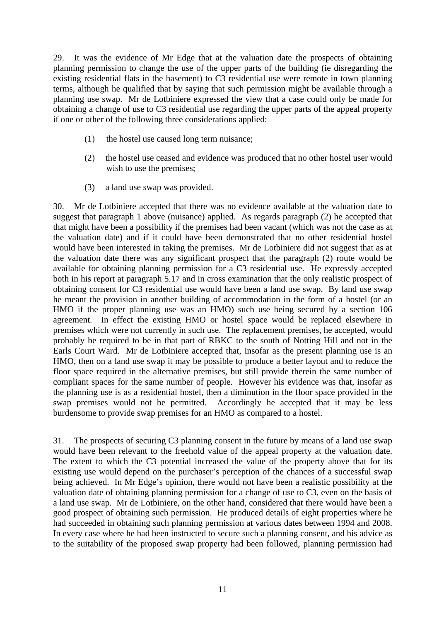29. It was the evidence of Mr Edge that at the valuation date the prospects of obtaining planning permission to change the use of the upper parts of the building (ie disregarding the existing residential flats in the basement) to C3 residential use were remote in town planning terms, although he qualified that by saying that such permission might be available through a planning use swap. Mr de Lotbiniere expressed the view that a case could only be made for obtaining a change of use to C3 residential use regarding the upper parts of the appeal property if one or other of the following three considerations applied:

- (1) the hostel use caused long term nuisance;
- (2) the hostel use ceased and evidence was produced that no other hostel user would wish to use the premises;
- (3) a land use swap was provided.

30. Mr de Lotbiniere accepted that there was no evidence available at the valuation date to suggest that paragraph 1 above (nuisance) applied. As regards paragraph (2) he accepted that that might have been a possibility if the premises had been vacant (which was not the case as at the valuation date) and if it could have been demonstrated that no other residential hostel would have been interested in taking the premises. Mr de Lotbiniere did not suggest that as at the valuation date there was any significant prospect that the paragraph (2) route would be available for obtaining planning permission for a C3 residential use. He expressly accepted both in his report at paragraph 5.17 and in cross examination that the only realistic prospect of obtaining consent for C3 residential use would have been a land use swap. By land use swap he meant the provision in another building of accommodation in the form of a hostel (or an HMO if the proper planning use was an HMO) such use being secured by a section 106 agreement. In effect the existing HMO or hostel space would be replaced elsewhere in premises which were not currently in such use. The replacement premises, he accepted, would probably be required to be in that part of RBKC to the south of Notting Hill and not in the Earls Court Ward. Mr de Lotbiniere accepted that, insofar as the present planning use is an HMO, then on a land use swap it may be possible to produce a better layout and to reduce the floor space required in the alternative premises, but still provide therein the same number of compliant spaces for the same number of people. However his evidence was that, insofar as the planning use is as a residential hostel, then a diminution in the floor space provided in the swap premises would not be permitted. Accordingly he accepted that it may be less burdensome to provide swap premises for an HMO as compared to a hostel.

31. The prospects of securing C3 planning consent in the future by means of a land use swap would have been relevant to the freehold value of the appeal property at the valuation date. The extent to which the C3 potential increased the value of the property above that for its existing use would depend on the purchaser's perception of the chances of a successful swap being achieved. In Mr Edge's opinion, there would not have been a realistic possibility at the valuation date of obtaining planning permission for a change of use to C3, even on the basis of a land use swap. Mr de Lotbiniere, on the other hand, considered that there would have been a good prospect of obtaining such permission. He produced details of eight properties where he had succeeded in obtaining such planning permission at various dates between 1994 and 2008. In every case where he had been instructed to secure such a planning consent, and his advice as to the suitability of the proposed swap property had been followed, planning permission had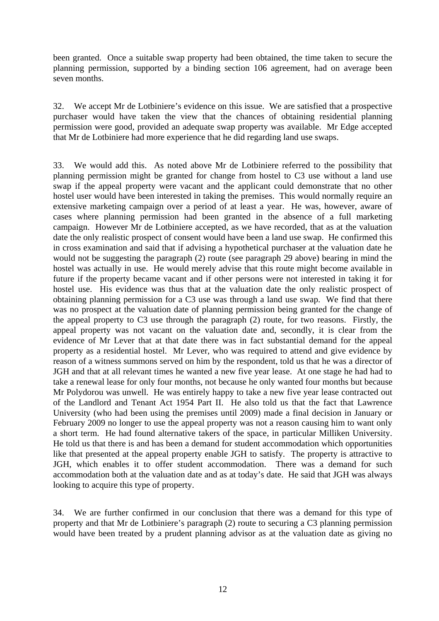been granted. Once a suitable swap property had been obtained, the time taken to secure the planning permission, supported by a binding section 106 agreement, had on average been seven months.

32. We accept Mr de Lotbiniere's evidence on this issue. We are satisfied that a prospective purchaser would have taken the view that the chances of obtaining residential planning permission were good, provided an adequate swap property was available. Mr Edge accepted that Mr de Lotbiniere had more experience that he did regarding land use swaps.

33. We would add this. As noted above Mr de Lotbiniere referred to the possibility that planning permission might be granted for change from hostel to C3 use without a land use swap if the appeal property were vacant and the applicant could demonstrate that no other hostel user would have been interested in taking the premises. This would normally require an extensive marketing campaign over a period of at least a year. He was, however, aware of cases where planning permission had been granted in the absence of a full marketing campaign. However Mr de Lotbiniere accepted, as we have recorded, that as at the valuation date the only realistic prospect of consent would have been a land use swap. He confirmed this in cross examination and said that if advising a hypothetical purchaser at the valuation date he would not be suggesting the paragraph (2) route (see paragraph 29 above) bearing in mind the hostel was actually in use. He would merely advise that this route might become available in future if the property became vacant and if other persons were not interested in taking it for hostel use. His evidence was thus that at the valuation date the only realistic prospect of obtaining planning permission for a C3 use was through a land use swap. We find that there was no prospect at the valuation date of planning permission being granted for the change of the appeal property to C3 use through the paragraph (2) route, for two reasons. Firstly, the appeal property was not vacant on the valuation date and, secondly, it is clear from the evidence of Mr Lever that at that date there was in fact substantial demand for the appeal property as a residential hostel. Mr Lever, who was required to attend and give evidence by reason of a witness summons served on him by the respondent, told us that he was a director of JGH and that at all relevant times he wanted a new five year lease. At one stage he had had to take a renewal lease for only four months, not because he only wanted four months but because Mr Polydorou was unwell. He was entirely happy to take a new five year lease contracted out of the Landlord and Tenant Act 1954 Part II. He also told us that the fact that Lawrence University (who had been using the premises until 2009) made a final decision in January or February 2009 no longer to use the appeal property was not a reason causing him to want only a short term. He had found alternative takers of the space, in particular Milliken University. He told us that there is and has been a demand for student accommodation which opportunities like that presented at the appeal property enable JGH to satisfy. The property is attractive to JGH, which enables it to offer student accommodation. There was a demand for such accommodation both at the valuation date and as at today's date. He said that JGH was always looking to acquire this type of property.

34. We are further confirmed in our conclusion that there was a demand for this type of property and that Mr de Lotbiniere's paragraph (2) route to securing a C3 planning permission would have been treated by a prudent planning advisor as at the valuation date as giving no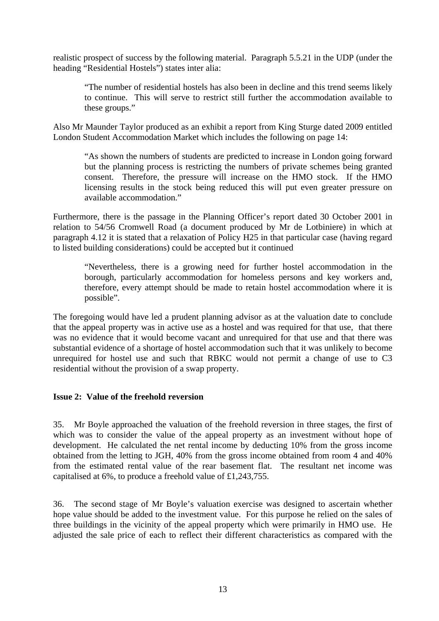realistic prospect of success by the following material. Paragraph 5.5.21 in the UDP (under the heading "Residential Hostels") states inter alia:

"The number of residential hostels has also been in decline and this trend seems likely to continue. This will serve to restrict still further the accommodation available to these groups."

Also Mr Maunder Taylor produced as an exhibit a report from King Sturge dated 2009 entitled London Student Accommodation Market which includes the following on page 14:

"As shown the numbers of students are predicted to increase in London going forward but the planning process is restricting the numbers of private schemes being granted consent. Therefore, the pressure will increase on the HMO stock. If the HMO licensing results in the stock being reduced this will put even greater pressure on available accommodation."

Furthermore, there is the passage in the Planning Officer's report dated 30 October 2001 in relation to 54/56 Cromwell Road (a document produced by Mr de Lotbiniere) in which at paragraph 4.12 it is stated that a relaxation of Policy H25 in that particular case (having regard to listed building considerations) could be accepted but it continued

"Nevertheless, there is a growing need for further hostel accommodation in the borough, particularly accommodation for homeless persons and key workers and, therefore, every attempt should be made to retain hostel accommodation where it is possible".

The foregoing would have led a prudent planning advisor as at the valuation date to conclude that the appeal property was in active use as a hostel and was required for that use, that there was no evidence that it would become vacant and unrequired for that use and that there was substantial evidence of a shortage of hostel accommodation such that it was unlikely to become unrequired for hostel use and such that RBKC would not permit a change of use to C3 residential without the provision of a swap property.

#### **Issue 2: Value of the freehold reversion**

35. Mr Boyle approached the valuation of the freehold reversion in three stages, the first of which was to consider the value of the appeal property as an investment without hope of development. He calculated the net rental income by deducting 10% from the gross income obtained from the letting to JGH, 40% from the gross income obtained from room 4 and 40% from the estimated rental value of the rear basement flat. The resultant net income was capitalised at 6%, to produce a freehold value of £1,243,755.

36. The second stage of Mr Boyle's valuation exercise was designed to ascertain whether hope value should be added to the investment value. For this purpose he relied on the sales of three buildings in the vicinity of the appeal property which were primarily in HMO use. He adjusted the sale price of each to reflect their different characteristics as compared with the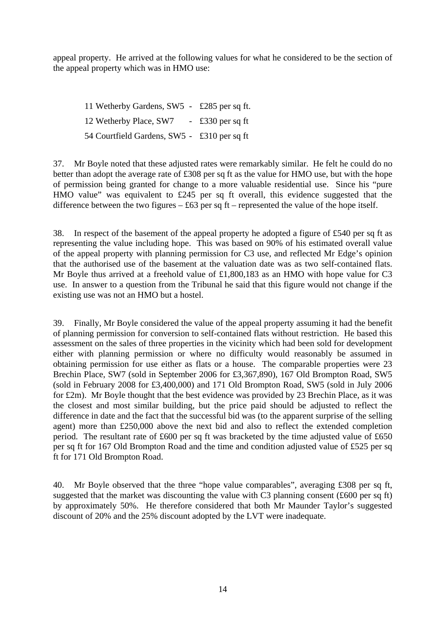appeal property. He arrived at the following values for what he considered to be the section of the appeal property which was in HMO use:

11 Wetherby Gardens, SW5 - £285 per sq ft. 12 Wetherby Place, SW7 - £330 per sq ft 54 Courtfield Gardens, SW5 - £310 per sq ft

37. Mr Boyle noted that these adjusted rates were remarkably similar. He felt he could do no better than adopt the average rate of £308 per sq ft as the value for HMO use, but with the hope of permission being granted for change to a more valuable residential use. Since his "pure HMO value" was equivalent to £245 per sq ft overall, this evidence suggested that the difference between the two figures  $-$  £63 per sq ft – represented the value of the hope itself.

38. In respect of the basement of the appeal property he adopted a figure of £540 per sq ft as representing the value including hope. This was based on 90% of his estimated overall value of the appeal property with planning permission for C3 use, and reflected Mr Edge's opinion that the authorised use of the basement at the valuation date was as two self-contained flats. Mr Boyle thus arrived at a freehold value of £1,800,183 as an HMO with hope value for C3 use. In answer to a question from the Tribunal he said that this figure would not change if the existing use was not an HMO but a hostel.

39. Finally, Mr Boyle considered the value of the appeal property assuming it had the benefit of planning permission for conversion to self-contained flats without restriction. He based this assessment on the sales of three properties in the vicinity which had been sold for development either with planning permission or where no difficulty would reasonably be assumed in obtaining permission for use either as flats or a house. The comparable properties were 23 Brechin Place, SW7 (sold in September 2006 for £3,367,890), 167 Old Brompton Road, SW5 (sold in February 2008 for £3,400,000) and 171 Old Brompton Road, SW5 (sold in July 2006 for £2m). Mr Boyle thought that the best evidence was provided by 23 Brechin Place, as it was the closest and most similar building, but the price paid should be adjusted to reflect the difference in date and the fact that the successful bid was (to the apparent surprise of the selling agent) more than £250,000 above the next bid and also to reflect the extended completion period. The resultant rate of £600 per sq ft was bracketed by the time adjusted value of £650 per sq ft for 167 Old Brompton Road and the time and condition adjusted value of £525 per sq ft for 171 Old Brompton Road.

40. Mr Boyle observed that the three "hope value comparables", averaging £308 per sq ft, suggested that the market was discounting the value with C3 planning consent  $(\text{\pounds}600 \text{ per sq ft})$ by approximately 50%. He therefore considered that both Mr Maunder Taylor's suggested discount of 20% and the 25% discount adopted by the LVT were inadequate.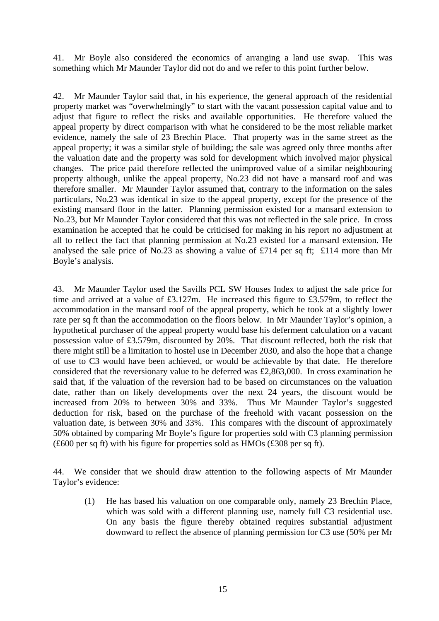41. Mr Boyle also considered the economics of arranging a land use swap. This was something which Mr Maunder Taylor did not do and we refer to this point further below.

42. Mr Maunder Taylor said that, in his experience, the general approach of the residential property market was "overwhelmingly" to start with the vacant possession capital value and to adjust that figure to reflect the risks and available opportunities. He therefore valued the appeal property by direct comparison with what he considered to be the most reliable market evidence, namely the sale of 23 Brechin Place. That property was in the same street as the appeal property; it was a similar style of building; the sale was agreed only three months after the valuation date and the property was sold for development which involved major physical changes. The price paid therefore reflected the unimproved value of a similar neighbouring property although, unlike the appeal property, No.23 did not have a mansard roof and was therefore smaller. Mr Maunder Taylor assumed that, contrary to the information on the sales particulars, No.23 was identical in size to the appeal property, except for the presence of the existing mansard floor in the latter. Planning permission existed for a mansard extension to No.23, but Mr Maunder Taylor considered that this was not reflected in the sale price. In cross examination he accepted that he could be criticised for making in his report no adjustment at all to reflect the fact that planning permission at No.23 existed for a mansard extension. He analysed the sale price of No.23 as showing a value of £714 per sq ft; £114 more than Mr Boyle's analysis.

43. Mr Maunder Taylor used the Savills PCL SW Houses Index to adjust the sale price for time and arrived at a value of £3.127m. He increased this figure to £3.579m, to reflect the accommodation in the mansard roof of the appeal property, which he took at a slightly lower rate per sq ft than the accommodation on the floors below. In Mr Maunder Taylor's opinion, a hypothetical purchaser of the appeal property would base his deferment calculation on a vacant possession value of £3.579m, discounted by 20%. That discount reflected, both the risk that there might still be a limitation to hostel use in December 2030, and also the hope that a change of use to C3 would have been achieved, or would be achievable by that date. He therefore considered that the reversionary value to be deferred was £2,863,000. In cross examination he said that, if the valuation of the reversion had to be based on circumstances on the valuation date, rather than on likely developments over the next 24 years, the discount would be increased from 20% to between 30% and 33%. Thus Mr Maunder Taylor's suggested deduction for risk, based on the purchase of the freehold with vacant possession on the valuation date, is between 30% and 33%. This compares with the discount of approximately 50% obtained by comparing Mr Boyle's figure for properties sold with C3 planning permission (£600 per sq ft) with his figure for properties sold as HMOs (£308 per sq ft).

44. We consider that we should draw attention to the following aspects of Mr Maunder Taylor's evidence:

(1) He has based his valuation on one comparable only, namely 23 Brechin Place, which was sold with a different planning use, namely full C3 residential use. On any basis the figure thereby obtained requires substantial adjustment downward to reflect the absence of planning permission for C3 use (50% per Mr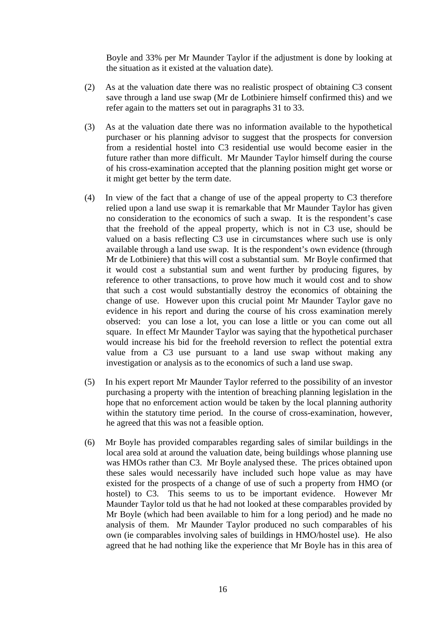Boyle and 33% per Mr Maunder Taylor if the adjustment is done by looking at the situation as it existed at the valuation date).

- (2) As at the valuation date there was no realistic prospect of obtaining C3 consent save through a land use swap (Mr de Lotbiniere himself confirmed this) and we refer again to the matters set out in paragraphs 31 to 33.
- (3) As at the valuation date there was no information available to the hypothetical purchaser or his planning advisor to suggest that the prospects for conversion from a residential hostel into C3 residential use would become easier in the future rather than more difficult. Mr Maunder Taylor himself during the course of his cross-examination accepted that the planning position might get worse or it might get better by the term date.
- (4) In view of the fact that a change of use of the appeal property to C3 therefore relied upon a land use swap it is remarkable that Mr Maunder Taylor has given no consideration to the economics of such a swap. It is the respondent's case that the freehold of the appeal property, which is not in C3 use, should be valued on a basis reflecting C3 use in circumstances where such use is only available through a land use swap. It is the respondent's own evidence (through Mr de Lotbiniere) that this will cost a substantial sum. Mr Boyle confirmed that it would cost a substantial sum and went further by producing figures, by reference to other transactions, to prove how much it would cost and to show that such a cost would substantially destroy the economics of obtaining the change of use. However upon this crucial point Mr Maunder Taylor gave no evidence in his report and during the course of his cross examination merely observed: you can lose a lot, you can lose a little or you can come out all square. In effect Mr Maunder Taylor was saying that the hypothetical purchaser would increase his bid for the freehold reversion to reflect the potential extra value from a C3 use pursuant to a land use swap without making any investigation or analysis as to the economics of such a land use swap.
- (5) In his expert report Mr Maunder Taylor referred to the possibility of an investor purchasing a property with the intention of breaching planning legislation in the hope that no enforcement action would be taken by the local planning authority within the statutory time period. In the course of cross-examination, however, he agreed that this was not a feasible option.
- (6) Mr Boyle has provided comparables regarding sales of similar buildings in the local area sold at around the valuation date, being buildings whose planning use was HMOs rather than C3. Mr Boyle analysed these. The prices obtained upon these sales would necessarily have included such hope value as may have existed for the prospects of a change of use of such a property from HMO (or hostel) to C3. This seems to us to be important evidence. However Mr Maunder Taylor told us that he had not looked at these comparables provided by Mr Boyle (which had been available to him for a long period) and he made no analysis of them. Mr Maunder Taylor produced no such comparables of his own (ie comparables involving sales of buildings in HMO/hostel use). He also agreed that he had nothing like the experience that Mr Boyle has in this area of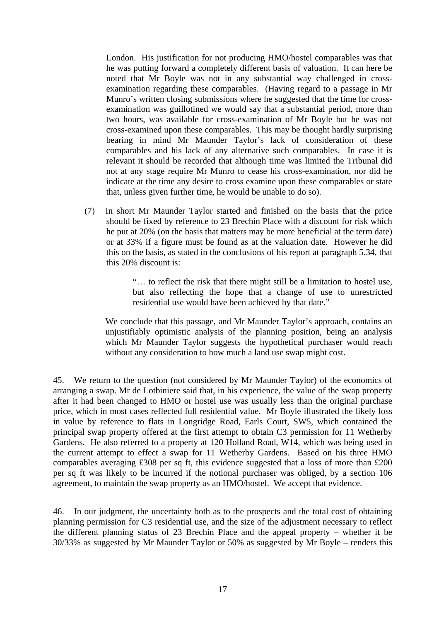London. His justification for not producing HMO/hostel comparables was that he was putting forward a completely different basis of valuation. It can here be noted that Mr Boyle was not in any substantial way challenged in crossexamination regarding these comparables. (Having regard to a passage in Mr Munro's written closing submissions where he suggested that the time for crossexamination was guillotined we would say that a substantial period, more than two hours, was available for cross-examination of Mr Boyle but he was not cross-examined upon these comparables. This may be thought hardly surprising bearing in mind Mr Maunder Taylor's lack of consideration of these comparables and his lack of any alternative such comparables. In case it is relevant it should be recorded that although time was limited the Tribunal did not at any stage require Mr Munro to cease his cross-examination, nor did he indicate at the time any desire to cross examine upon these comparables or state that, unless given further time, he would be unable to do so).

(7) In short Mr Maunder Taylor started and finished on the basis that the price should be fixed by reference to 23 Brechin Place with a discount for risk which he put at 20% (on the basis that matters may be more beneficial at the term date) or at 33% if a figure must be found as at the valuation date. However he did this on the basis, as stated in the conclusions of his report at paragraph 5.34, that this 20% discount is:

> "… to reflect the risk that there might still be a limitation to hostel use, but also reflecting the hope that a change of use to unrestricted residential use would have been achieved by that date."

We conclude that this passage, and Mr Maunder Taylor's approach, contains an unjustifiably optimistic analysis of the planning position, being an analysis which Mr Maunder Taylor suggests the hypothetical purchaser would reach without any consideration to how much a land use swap might cost.

45. We return to the question (not considered by Mr Maunder Taylor) of the economics of arranging a swap. Mr de Lotbiniere said that, in his experience, the value of the swap property after it had been changed to HMO or hostel use was usually less than the original purchase price, which in most cases reflected full residential value. Mr Boyle illustrated the likely loss in value by reference to flats in Longridge Road, Earls Court, SW5, which contained the principal swap property offered at the first attempt to obtain C3 permission for 11 Wetherby Gardens. He also referred to a property at 120 Holland Road, W14, which was being used in the current attempt to effect a swap for 11 Wetherby Gardens. Based on his three HMO comparables averaging £308 per sq ft, this evidence suggested that a loss of more than £200 per sq ft was likely to be incurred if the notional purchaser was obliged, by a section 106 agreement, to maintain the swap property as an HMO/hostel. We accept that evidence.

46. In our judgment, the uncertainty both as to the prospects and the total cost of obtaining planning permission for C3 residential use, and the size of the adjustment necessary to reflect the different planning status of 23 Brechin Place and the appeal property – whether it be 30/33% as suggested by Mr Maunder Taylor or 50% as suggested by Mr Boyle – renders this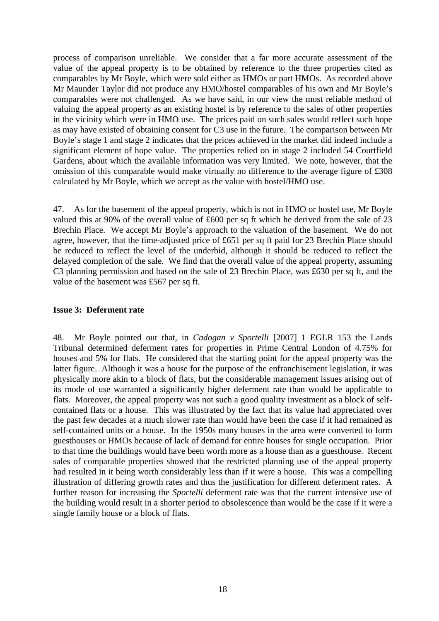process of comparison unreliable. We consider that a far more accurate assessment of the value of the appeal property is to be obtained by reference to the three properties cited as comparables by Mr Boyle, which were sold either as HMOs or part HMOs. As recorded above Mr Maunder Taylor did not produce any HMO/hostel comparables of his own and Mr Boyle's comparables were not challenged. As we have said, in our view the most reliable method of valuing the appeal property as an existing hostel is by reference to the sales of other properties in the vicinity which were in HMO use. The prices paid on such sales would reflect such hope as may have existed of obtaining consent for C3 use in the future. The comparison between Mr Boyle's stage 1 and stage 2 indicates that the prices achieved in the market did indeed include a significant element of hope value. The properties relied on in stage 2 included 54 Courtfield Gardens, about which the available information was very limited. We note, however, that the omission of this comparable would make virtually no difference to the average figure of £308 calculated by Mr Boyle, which we accept as the value with hostel/HMO use.

47. As for the basement of the appeal property, which is not in HMO or hostel use, Mr Boyle valued this at 90% of the overall value of £600 per sq ft which he derived from the sale of 23 Brechin Place. We accept Mr Boyle's approach to the valuation of the basement. We do not agree, however, that the time-adjusted price of £651 per sq ft paid for 23 Brechin Place should be reduced to reflect the level of the underbid, although it should be reduced to reflect the delayed completion of the sale. We find that the overall value of the appeal property, assuming C3 planning permission and based on the sale of 23 Brechin Place, was £630 per sq ft, and the value of the basement was £567 per sq ft.

# **Issue 3: Deferment rate**

48. Mr Boyle pointed out that, in *Cadogan v Sportelli* [2007] 1 EGLR 153 the Lands Tribunal determined deferment rates for properties in Prime Central London of 4.75% for houses and 5% for flats. He considered that the starting point for the appeal property was the latter figure. Although it was a house for the purpose of the enfranchisement legislation, it was physically more akin to a block of flats, but the considerable management issues arising out of its mode of use warranted a significantly higher deferment rate than would be applicable to flats. Moreover, the appeal property was not such a good quality investment as a block of selfcontained flats or a house. This was illustrated by the fact that its value had appreciated over the past few decades at a much slower rate than would have been the case if it had remained as self-contained units or a house. In the 1950s many houses in the area were converted to form guesthouses or HMOs because of lack of demand for entire houses for single occupation. Prior to that time the buildings would have been worth more as a house than as a guesthouse. Recent sales of comparable properties showed that the restricted planning use of the appeal property had resulted in it being worth considerably less than if it were a house. This was a compelling illustration of differing growth rates and thus the justification for different deferment rates. A further reason for increasing the *Sportelli* deferment rate was that the current intensive use of the building would result in a shorter period to obsolescence than would be the case if it were a single family house or a block of flats.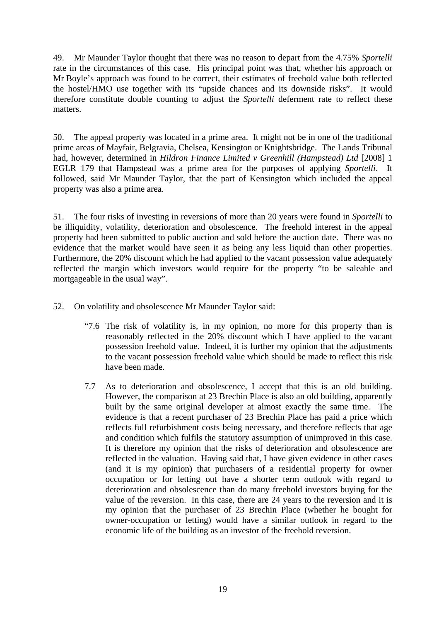49. Mr Maunder Taylor thought that there was no reason to depart from the 4.75% *Sportelli* rate in the circumstances of this case. His principal point was that, whether his approach or Mr Boyle's approach was found to be correct, their estimates of freehold value both reflected the hostel/HMO use together with its "upside chances and its downside risks". It would therefore constitute double counting to adjust the *Sportelli* deferment rate to reflect these matters.

50. The appeal property was located in a prime area. It might not be in one of the traditional prime areas of Mayfair, Belgravia, Chelsea, Kensington or Knightsbridge. The Lands Tribunal had, however, determined in *Hildron Finance Limited v Greenhill (Hampstead) Ltd* [2008] 1 EGLR 179 that Hampstead was a prime area for the purposes of applying *Sportelli*. It followed, said Mr Maunder Taylor, that the part of Kensington which included the appeal property was also a prime area.

51. The four risks of investing in reversions of more than 20 years were found in *Sportelli* to be illiquidity, volatility, deterioration and obsolescence. The freehold interest in the appeal property had been submitted to public auction and sold before the auction date. There was no evidence that the market would have seen it as being any less liquid than other properties. Furthermore, the 20% discount which he had applied to the vacant possession value adequately reflected the margin which investors would require for the property "to be saleable and mortgageable in the usual way".

52. On volatility and obsolescence Mr Maunder Taylor said:

- "7.6 The risk of volatility is, in my opinion, no more for this property than is reasonably reflected in the 20% discount which I have applied to the vacant possession freehold value. Indeed, it is further my opinion that the adjustments to the vacant possession freehold value which should be made to reflect this risk have been made.
- 7.7 As to deterioration and obsolescence, I accept that this is an old building. However, the comparison at 23 Brechin Place is also an old building, apparently built by the same original developer at almost exactly the same time. The evidence is that a recent purchaser of 23 Brechin Place has paid a price which reflects full refurbishment costs being necessary, and therefore reflects that age and condition which fulfils the statutory assumption of unimproved in this case. It is therefore my opinion that the risks of deterioration and obsolescence are reflected in the valuation. Having said that, I have given evidence in other cases (and it is my opinion) that purchasers of a residential property for owner occupation or for letting out have a shorter term outlook with regard to deterioration and obsolescence than do many freehold investors buying for the value of the reversion. In this case, there are 24 years to the reversion and it is my opinion that the purchaser of 23 Brechin Place (whether he bought for owner-occupation or letting) would have a similar outlook in regard to the economic life of the building as an investor of the freehold reversion.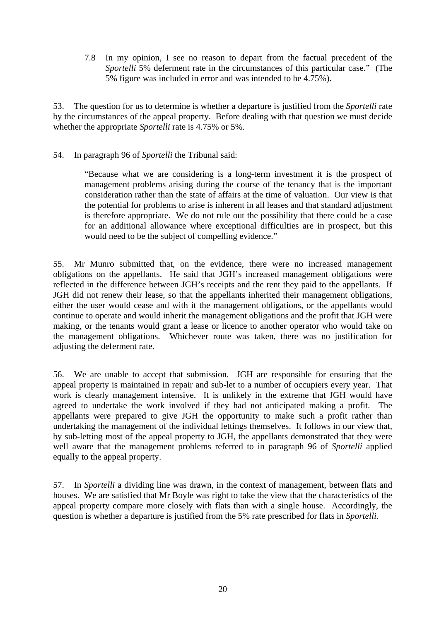7.8 In my opinion, I see no reason to depart from the factual precedent of the *Sportelli* 5% deferment rate in the circumstances of this particular case." (The 5% figure was included in error and was intended to be 4.75%).

53. The question for us to determine is whether a departure is justified from the *Sportelli* rate by the circumstances of the appeal property. Before dealing with that question we must decide whether the appropriate *Sportelli* rate is 4.75% or 5%.

# 54. In paragraph 96 of *Sportelli* the Tribunal said:

"Because what we are considering is a long-term investment it is the prospect of management problems arising during the course of the tenancy that is the important consideration rather than the state of affairs at the time of valuation. Our view is that the potential for problems to arise is inherent in all leases and that standard adjustment is therefore appropriate. We do not rule out the possibility that there could be a case for an additional allowance where exceptional difficulties are in prospect, but this would need to be the subject of compelling evidence."

55. Mr Munro submitted that, on the evidence, there were no increased management obligations on the appellants. He said that JGH's increased management obligations were reflected in the difference between JGH's receipts and the rent they paid to the appellants. If JGH did not renew their lease, so that the appellants inherited their management obligations, either the user would cease and with it the management obligations, or the appellants would continue to operate and would inherit the management obligations and the profit that JGH were making, or the tenants would grant a lease or licence to another operator who would take on the management obligations. Whichever route was taken, there was no justification for adjusting the deferment rate.

56. We are unable to accept that submission. JGH are responsible for ensuring that the appeal property is maintained in repair and sub-let to a number of occupiers every year. That work is clearly management intensive. It is unlikely in the extreme that JGH would have agreed to undertake the work involved if they had not anticipated making a profit. The appellants were prepared to give JGH the opportunity to make such a profit rather than undertaking the management of the individual lettings themselves. It follows in our view that, by sub-letting most of the appeal property to JGH, the appellants demonstrated that they were well aware that the management problems referred to in paragraph 96 of *Sportelli* applied equally to the appeal property.

57. In *Sportelli* a dividing line was drawn, in the context of management, between flats and houses. We are satisfied that Mr Boyle was right to take the view that the characteristics of the appeal property compare more closely with flats than with a single house. Accordingly, the question is whether a departure is justified from the 5% rate prescribed for flats in *Sportelli*.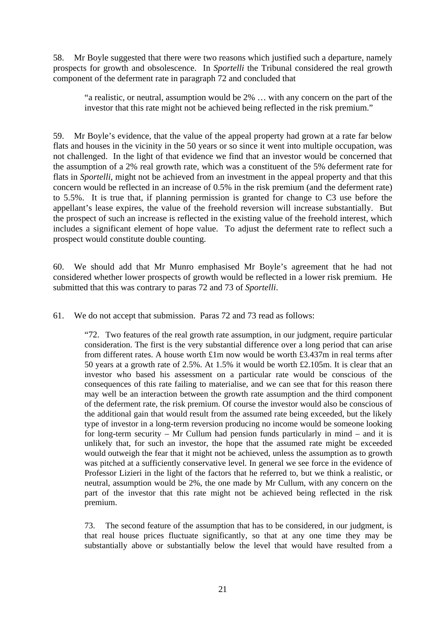58. Mr Boyle suggested that there were two reasons which justified such a departure, namely prospects for growth and obsolescence. In *Sportelli* the Tribunal considered the real growth component of the deferment rate in paragraph 72 and concluded that

"a realistic, or neutral, assumption would be 2% … with any concern on the part of the investor that this rate might not be achieved being reflected in the risk premium."

59. Mr Boyle's evidence, that the value of the appeal property had grown at a rate far below flats and houses in the vicinity in the 50 years or so since it went into multiple occupation, was not challenged. In the light of that evidence we find that an investor would be concerned that the assumption of a 2% real growth rate, which was a constituent of the 5% deferment rate for flats in *Sportelli*, might not be achieved from an investment in the appeal property and that this concern would be reflected in an increase of 0.5% in the risk premium (and the deferment rate) to 5.5%. It is true that, if planning permission is granted for change to C3 use before the appellant's lease expires, the value of the freehold reversion will increase substantially. But the prospect of such an increase is reflected in the existing value of the freehold interest, which includes a significant element of hope value. To adjust the deferment rate to reflect such a prospect would constitute double counting.

60. We should add that Mr Munro emphasised Mr Boyle's agreement that he had not considered whether lower prospects of growth would be reflected in a lower risk premium. He submitted that this was contrary to paras 72 and 73 of *Sportelli*.

61. We do not accept that submission. Paras 72 and 73 read as follows:

"72. Two features of the real growth rate assumption, in our judgment, require particular consideration. The first is the very substantial difference over a long period that can arise from different rates. A house worth £1m now would be worth £3.437m in real terms after 50 years at a growth rate of 2.5%. At 1.5% it would be worth £2.105m. It is clear that an investor who based his assessment on a particular rate would be conscious of the consequences of this rate failing to materialise, and we can see that for this reason there may well be an interaction between the growth rate assumption and the third component of the deferment rate, the risk premium. Of course the investor would also be conscious of the additional gain that would result from the assumed rate being exceeded, but the likely type of investor in a long-term reversion producing no income would be someone looking for long-term security – Mr Cullum had pension funds particularly in mind – and it is unlikely that, for such an investor, the hope that the assumed rate might be exceeded would outweigh the fear that it might not be achieved, unless the assumption as to growth was pitched at a sufficiently conservative level. In general we see force in the evidence of Professor Lizieri in the light of the factors that he referred to, but we think a realistic, or neutral, assumption would be 2%, the one made by Mr Cullum, with any concern on the part of the investor that this rate might not be achieved being reflected in the risk premium.

73. The second feature of the assumption that has to be considered, in our judgment, is that real house prices fluctuate significantly, so that at any one time they may be substantially above or substantially below the level that would have resulted from a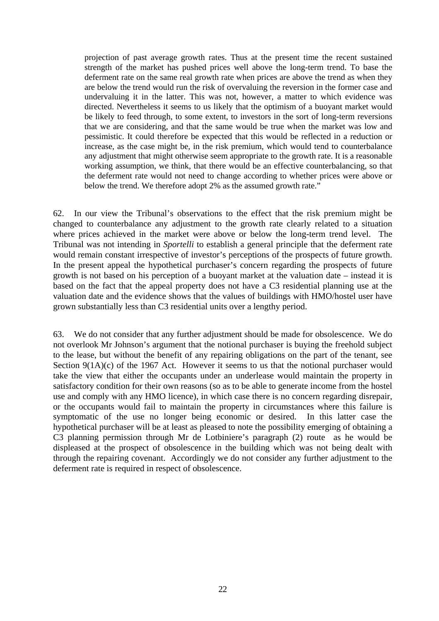projection of past average growth rates. Thus at the present time the recent sustained strength of the market has pushed prices well above the long-term trend. To base the deferment rate on the same real growth rate when prices are above the trend as when they are below the trend would run the risk of overvaluing the reversion in the former case and undervaluing it in the latter. This was not, however, a matter to which evidence was directed. Nevertheless it seems to us likely that the optimism of a buoyant market would be likely to feed through, to some extent, to investors in the sort of long-term reversions that we are considering, and that the same would be true when the market was low and pessimistic. It could therefore be expected that this would be reflected in a reduction or increase, as the case might be, in the risk premium, which would tend to counterbalance any adjustment that might otherwise seem appropriate to the growth rate. It is a reasonable working assumption, we think, that there would be an effective counterbalancing, so that the deferment rate would not need to change according to whether prices were above or below the trend. We therefore adopt 2% as the assumed growth rate."

62. In our view the Tribunal's observations to the effect that the risk premium might be changed to counterbalance any adjustment to the growth rate clearly related to a situation where prices achieved in the market were above or below the long-term trend level. The Tribunal was not intending in *Sportelli* to establish a general principle that the deferment rate would remain constant irrespective of investor's perceptions of the prospects of future growth. In the present appeal the hypothetical purchaser's concern regarding the prospects of future growth is not based on his perception of a buoyant market at the valuation date – instead it is based on the fact that the appeal property does not have a C3 residential planning use at the valuation date and the evidence shows that the values of buildings with HMO/hostel user have grown substantially less than C3 residential units over a lengthy period.

63. We do not consider that any further adjustment should be made for obsolescence. We do not overlook Mr Johnson's argument that the notional purchaser is buying the freehold subject to the lease, but without the benefit of any repairing obligations on the part of the tenant, see Section 9(1A)(c) of the 1967 Act. However it seems to us that the notional purchaser would take the view that either the occupants under an underlease would maintain the property in satisfactory condition for their own reasons (so as to be able to generate income from the hostel use and comply with any HMO licence), in which case there is no concern regarding disrepair, or the occupants would fail to maintain the property in circumstances where this failure is symptomatic of the use no longer being economic or desired. In this latter case the hypothetical purchaser will be at least as pleased to note the possibility emerging of obtaining a C3 planning permission through Mr de Lotbiniere's paragraph (2) route as he would be displeased at the prospect of obsolescence in the building which was not being dealt with through the repairing covenant. Accordingly we do not consider any further adjustment to the deferment rate is required in respect of obsolescence.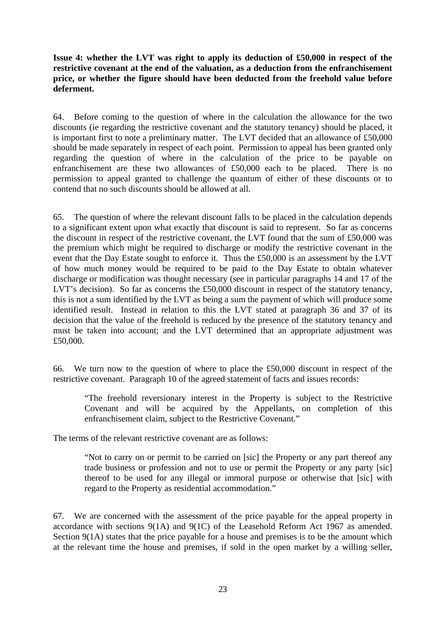**Issue 4: whether the LVT was right to apply its deduction of £50,000 in respect of the restrictive covenant at the end of the valuation, as a deduction from the enfranchisement price, or whether the figure should have been deducted from the freehold value before deferment.** 

64. Before coming to the question of where in the calculation the allowance for the two discounts (ie regarding the restrictive covenant and the statutory tenancy) should be placed, it is important first to note a preliminary matter. The LVT decided that an allowance of £50,000 should be made separately in respect of each point. Permission to appeal has been granted only regarding the question of where in the calculation of the price to be payable on enfranchisement are these two allowances of £50,000 each to be placed. There is no permission to appeal granted to challenge the quantum of either of these discounts or to contend that no such discounts should be allowed at all.

65. The question of where the relevant discount falls to be placed in the calculation depends to a significant extent upon what exactly that discount is said to represent. So far as concerns the discount in respect of the restrictive covenant, the LVT found that the sum of £50,000 was the premium which might be required to discharge or modify the restrictive covenant in the event that the Day Estate sought to enforce it. Thus the £50,000 is an assessment by the LVT of how much money would be required to be paid to the Day Estate to obtain whatever discharge or modification was thought necessary (see in particular paragraphs 14 and 17 of the LVT's decision). So far as concerns the £50,000 discount in respect of the statutory tenancy, this is not a sum identified by the LVT as being a sum the payment of which will produce some identified result. Instead in relation to this the LVT stated at paragraph 36 and 37 of its decision that the value of the freehold is reduced by the presence of the statutory tenancy and must be taken into account; and the LVT determined that an appropriate adjustment was £50,000.

66. We turn now to the question of where to place the £50,000 discount in respect of the restrictive covenant. Paragraph 10 of the agreed statement of facts and issues records:

"The freehold reversionary interest in the Property is subject to the Restrictive Covenant and will be acquired by the Appellants, on completion of this enfranchisement claim, subject to the Restrictive Covenant."

The terms of the relevant restrictive covenant are as follows:

"Not to carry on or permit to be carried on [sic] the Property or any part thereof any trade business or profession and not to use or permit the Property or any party [sic] thereof to be used for any illegal or immoral purpose or otherwise that [sic] with regard to the Property as residential accommodation."

67. We are concerned with the assessment of the price payable for the appeal property in accordance with sections 9(1A) and 9(1C) of the Leasehold Reform Act 1967 as amended. Section 9(1A) states that the price payable for a house and premises is to be the amount which at the relevant time the house and premises, if sold in the open market by a willing seller,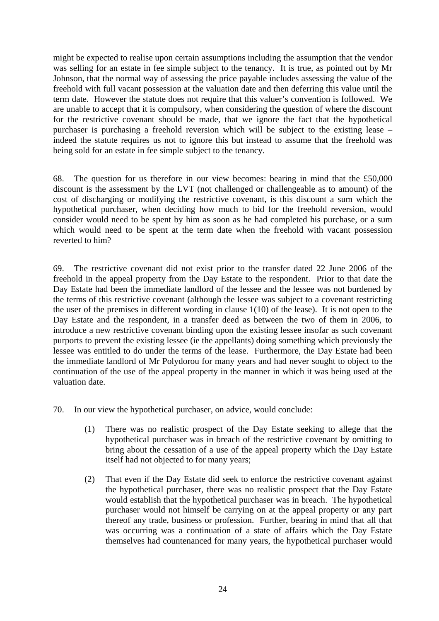might be expected to realise upon certain assumptions including the assumption that the vendor was selling for an estate in fee simple subject to the tenancy. It is true, as pointed out by Mr Johnson, that the normal way of assessing the price payable includes assessing the value of the freehold with full vacant possession at the valuation date and then deferring this value until the term date. However the statute does not require that this valuer's convention is followed. We are unable to accept that it is compulsory, when considering the question of where the discount for the restrictive covenant should be made, that we ignore the fact that the hypothetical purchaser is purchasing a freehold reversion which will be subject to the existing lease – indeed the statute requires us not to ignore this but instead to assume that the freehold was being sold for an estate in fee simple subject to the tenancy.

68. The question for us therefore in our view becomes: bearing in mind that the £50,000 discount is the assessment by the LVT (not challenged or challengeable as to amount) of the cost of discharging or modifying the restrictive covenant, is this discount a sum which the hypothetical purchaser, when deciding how much to bid for the freehold reversion, would consider would need to be spent by him as soon as he had completed his purchase, or a sum which would need to be spent at the term date when the freehold with vacant possession reverted to him?

69. The restrictive covenant did not exist prior to the transfer dated 22 June 2006 of the freehold in the appeal property from the Day Estate to the respondent. Prior to that date the Day Estate had been the immediate landlord of the lessee and the lessee was not burdened by the terms of this restrictive covenant (although the lessee was subject to a covenant restricting the user of the premises in different wording in clause 1(10) of the lease). It is not open to the Day Estate and the respondent, in a transfer deed as between the two of them in 2006, to introduce a new restrictive covenant binding upon the existing lessee insofar as such covenant purports to prevent the existing lessee (ie the appellants) doing something which previously the lessee was entitled to do under the terms of the lease. Furthermore, the Day Estate had been the immediate landlord of Mr Polydorou for many years and had never sought to object to the continuation of the use of the appeal property in the manner in which it was being used at the valuation date.

- 70. In our view the hypothetical purchaser, on advice, would conclude:
	- (1) There was no realistic prospect of the Day Estate seeking to allege that the hypothetical purchaser was in breach of the restrictive covenant by omitting to bring about the cessation of a use of the appeal property which the Day Estate itself had not objected to for many years;
	- (2) That even if the Day Estate did seek to enforce the restrictive covenant against the hypothetical purchaser, there was no realistic prospect that the Day Estate would establish that the hypothetical purchaser was in breach. The hypothetical purchaser would not himself be carrying on at the appeal property or any part thereof any trade, business or profession. Further, bearing in mind that all that was occurring was a continuation of a state of affairs which the Day Estate themselves had countenanced for many years, the hypothetical purchaser would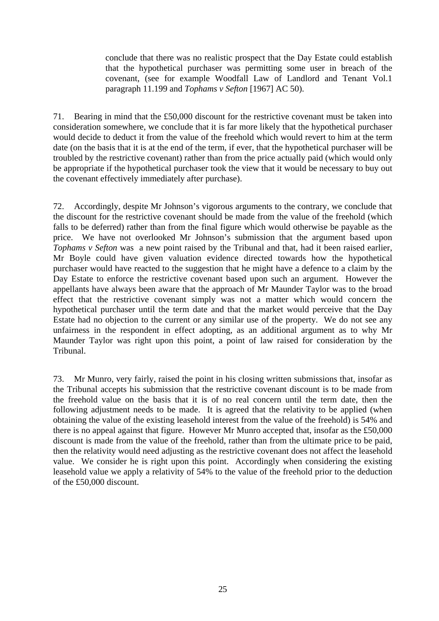conclude that there was no realistic prospect that the Day Estate could establish that the hypothetical purchaser was permitting some user in breach of the covenant, (see for example Woodfall Law of Landlord and Tenant Vol.1 paragraph 11.199 and *Tophams v Sefton* [1967] AC 50).

71. Bearing in mind that the £50,000 discount for the restrictive covenant must be taken into consideration somewhere, we conclude that it is far more likely that the hypothetical purchaser would decide to deduct it from the value of the freehold which would revert to him at the term date (on the basis that it is at the end of the term, if ever, that the hypothetical purchaser will be troubled by the restrictive covenant) rather than from the price actually paid (which would only be appropriate if the hypothetical purchaser took the view that it would be necessary to buy out the covenant effectively immediately after purchase).

72. Accordingly, despite Mr Johnson's vigorous arguments to the contrary, we conclude that the discount for the restrictive covenant should be made from the value of the freehold (which falls to be deferred) rather than from the final figure which would otherwise be payable as the price. We have not overlooked Mr Johnson's submission that the argument based upon *Tophams v Sefton* was a new point raised by the Tribunal and that, had it been raised earlier, Mr Boyle could have given valuation evidence directed towards how the hypothetical purchaser would have reacted to the suggestion that he might have a defence to a claim by the Day Estate to enforce the restrictive covenant based upon such an argument. However the appellants have always been aware that the approach of Mr Maunder Taylor was to the broad effect that the restrictive covenant simply was not a matter which would concern the hypothetical purchaser until the term date and that the market would perceive that the Day Estate had no objection to the current or any similar use of the property. We do not see any unfairness in the respondent in effect adopting, as an additional argument as to why Mr Maunder Taylor was right upon this point, a point of law raised for consideration by the Tribunal.

73. Mr Munro, very fairly, raised the point in his closing written submissions that, insofar as the Tribunal accepts his submission that the restrictive covenant discount is to be made from the freehold value on the basis that it is of no real concern until the term date, then the following adjustment needs to be made. It is agreed that the relativity to be applied (when obtaining the value of the existing leasehold interest from the value of the freehold) is 54% and there is no appeal against that figure. However Mr Munro accepted that, insofar as the £50,000 discount is made from the value of the freehold, rather than from the ultimate price to be paid, then the relativity would need adjusting as the restrictive covenant does not affect the leasehold value. We consider he is right upon this point. Accordingly when considering the existing leasehold value we apply a relativity of 54% to the value of the freehold prior to the deduction of the £50,000 discount.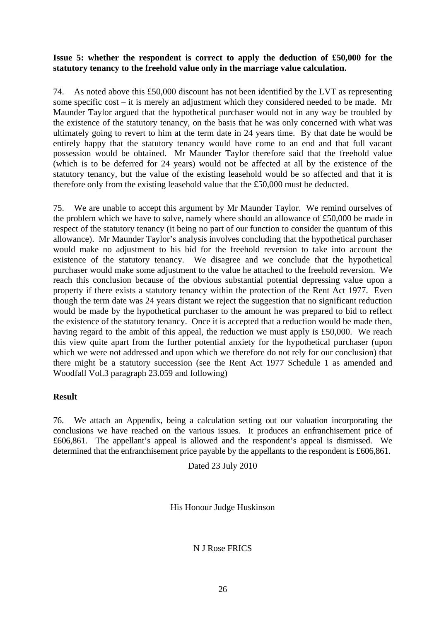# **Issue 5: whether the respondent is correct to apply the deduction of £50,000 for the statutory tenancy to the freehold value only in the marriage value calculation.**

74. As noted above this £50,000 discount has not been identified by the LVT as representing some specific cost – it is merely an adjustment which they considered needed to be made. Mr Maunder Taylor argued that the hypothetical purchaser would not in any way be troubled by the existence of the statutory tenancy, on the basis that he was only concerned with what was ultimately going to revert to him at the term date in 24 years time. By that date he would be entirely happy that the statutory tenancy would have come to an end and that full vacant possession would be obtained. Mr Maunder Taylor therefore said that the freehold value (which is to be deferred for 24 years) would not be affected at all by the existence of the statutory tenancy, but the value of the existing leasehold would be so affected and that it is therefore only from the existing leasehold value that the £50,000 must be deducted.

75. We are unable to accept this argument by Mr Maunder Taylor. We remind ourselves of the problem which we have to solve, namely where should an allowance of £50,000 be made in respect of the statutory tenancy (it being no part of our function to consider the quantum of this allowance). Mr Maunder Taylor's analysis involves concluding that the hypothetical purchaser would make no adjustment to his bid for the freehold reversion to take into account the existence of the statutory tenancy. We disagree and we conclude that the hypothetical purchaser would make some adjustment to the value he attached to the freehold reversion. We reach this conclusion because of the obvious substantial potential depressing value upon a property if there exists a statutory tenancy within the protection of the Rent Act 1977. Even though the term date was 24 years distant we reject the suggestion that no significant reduction would be made by the hypothetical purchaser to the amount he was prepared to bid to reflect the existence of the statutory tenancy. Once it is accepted that a reduction would be made then, having regard to the ambit of this appeal, the reduction we must apply is £50,000. We reach this view quite apart from the further potential anxiety for the hypothetical purchaser (upon which we were not addressed and upon which we therefore do not rely for our conclusion) that there might be a statutory succession (see the Rent Act 1977 Schedule 1 as amended and Woodfall Vol.3 paragraph 23.059 and following)

#### **Result**

76. We attach an Appendix, being a calculation setting out our valuation incorporating the conclusions we have reached on the various issues. It produces an enfranchisement price of £606,861. The appellant's appeal is allowed and the respondent's appeal is dismissed. We determined that the enfranchisement price payable by the appellants to the respondent is £606,861.

Dated 23 July 2010

His Honour Judge Huskinson

N J Rose FRICS